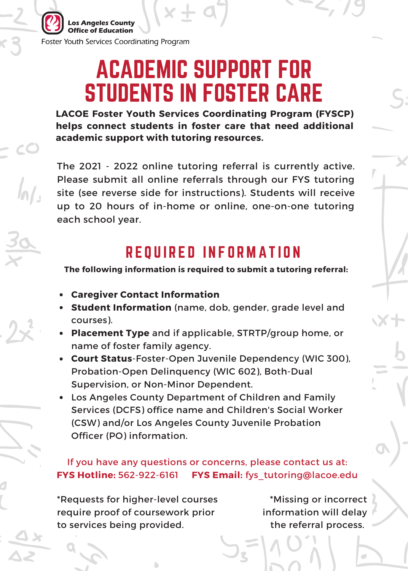eles County Office of Education Foster Youth Services Coordinating Program

## ACADEMIC SUPPORT FOR STUDENTS IN FOSTER CARE

**LACOE Foster Youth Services Coordinating Program (FYSCP) helps connect students in foster care that need additional academic support with tutoring resources.**

The 2021 - 2022 online tutoring referral is currently active. Please submit all online referrals through our FYS tutoring site (see reverse side for instructions). Students will receive up to 20 hours of in-home or online, one-on-one tutoring each school year.

### REQUIRED INFORMATION

**The following information is required to submit a tutoring referral:**

- **Caregiver Contact Information**
- **Student Information** (name, dob, gender, grade level and courses).
- **Placement Type** and if applicable, STRTP/group home, or name of foster family agency.
- **Court Status**-Foster-Open Juvenile Dependency (WIC 300), Probation-Open Delinquency (WIC 602), Both-Dual Supervision, or Non-Minor Dependent.
- Los Angeles County Department of Children and Family Services (DCFS) office name and Children's Social Worker (CSW) and/or Los Angeles County Juvenile Probation Officer (PO) information.

#### **FYS Hotline:** 562-922-6161 **FYS Email:** fys\_tutoring@lacoe.edu If you have any questions or concerns, please contact us at:

\*Requests for higher-level courses require proof of coursework prior to services being provided.

\*Missing or incorrect information will delay the referral process.